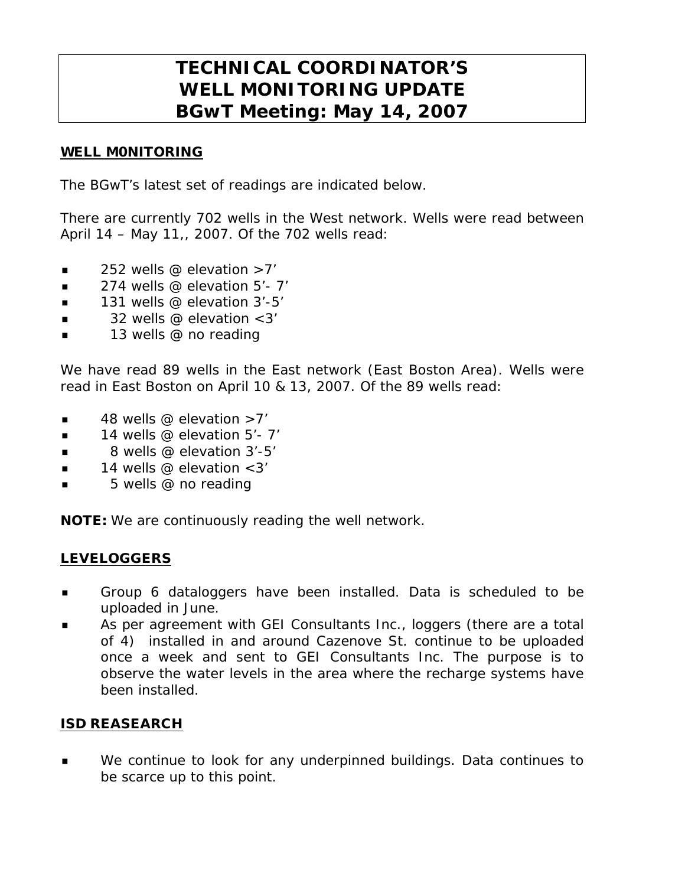# **TECHNICAL COORDINATOR'S WELL MONITORING UPDATE BGwT Meeting: May 14, 2007**

### WELL M0NITORING

The BGwT's latest set of readings are indicated below.

There are currently 702 wells in the West network. Wells were read between April 14 – May 11,, 2007. Of the 702 wells read:

- $\blacksquare$  252 wells @ elevation >7'
- $\blacksquare$  274 wells @ elevation 5'-7'
- $\blacksquare$  131 wells @ elevation 3'-5'
- 32 wells @ elevation <3'
- **13** wells @ no reading

We have read 89 wells in the East network (East Boston Area). Wells were read in East Boston on April 10 & 13, 2007. Of the 89 wells read:

- 48 wells @ elevation >7'
- $\blacksquare$  14 wells @ elevation 5'- 7'
- 8 wells @ elevation 3'-5'
- $\blacksquare$  14 wells @ elevation <3'
- 5 wells @ no reading

NOTE: We are continuously reading the well network.

### LEVELOGGERS

- Group 6 dataloggers have been installed. Data is scheduled to be uploaded in June.
- As per agreement with GEI Consultants Inc., loggers (there are a total of 4) installed in and around Cazenove St. continue to be uploaded once a week and sent to GEI Consultants Inc. The purpose is to observe the water levels in the area where the recharge systems have been installed.

### ISD REASEARCH

 We continue to look for any underpinned buildings. Data continues to be scarce up to this point.